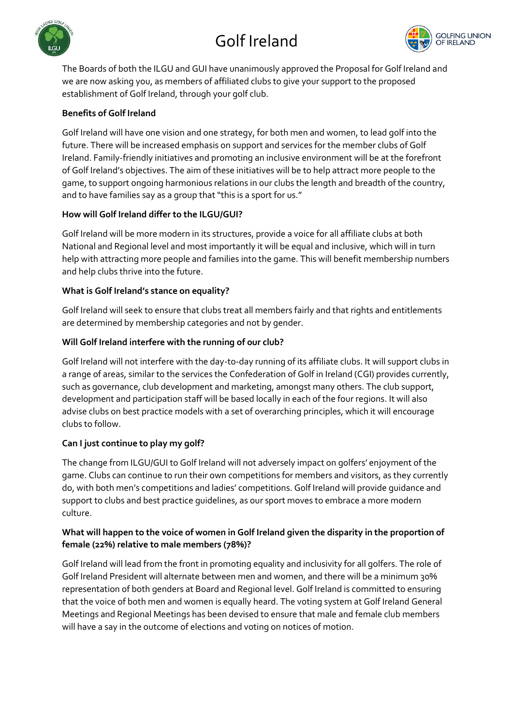# Golf Ireland





The Boards of both the ILGU and GUI have unanimously approved the Proposal for Golf Ireland and we are now asking you, as members of affiliated clubs to give your support to the proposed establishment of Golf Ireland, through your golf club.

## **Benefits of Golf Ireland**

Golf Ireland will have one vision and one strategy, for both men and women, to lead golf into the future. There will be increased emphasis on support and services for the member clubs of Golf Ireland. Family-friendly initiatives and promoting an inclusive environment will be at the forefront of Golf Ireland's objectives. The aim of these initiatives will be to help attract more people to the game, to support ongoing harmonious relations in our clubs the length and breadth of the country, and to have families say as a group that "this is a sport for us."

### **How will Golf Ireland differ to the ILGU/GUI?**

Golf Ireland will be more modern in its structures, provide a voice for all affiliate clubs at both National and Regional level and most importantly it will be equal and inclusive, which will in turn help with attracting more people and families into the game. This will benefit membership numbers and help clubs thrive into the future.

### **What is Golf Ireland's stance on equality?**

Golf Ireland will seek to ensure that clubs treat all members fairly and that rights and entitlements are determined by membership categories and not by gender.

## **Will Golf Ireland interfere with the running of our club?**

Golf Ireland will not interfere with the day-to-day running of its affiliate clubs. It will support clubs in a range of areas, similar to the services the Confederation of Golf in Ireland (CGI) provides currently, such as governance, club development and marketing, amongst many others. The club support, development and participation staff will be based locally in each of the four regions. It will also advise clubs on best practice models with a set of overarching principles, which it will encourage clubs to follow.

## **Can I just continue to play my golf?**

The change from ILGU/GUI to Golf Ireland will not adversely impact on golfers' enjoyment of the game. Clubs can continue to run their own competitions for members and visitors, as they currently do, with both men's competitions and ladies' competitions. Golf Ireland will provide guidance and support to clubs and best practice guidelines, as our sport moves to embrace a more modern culture.

### **What will happen to the voice of women in Golf Ireland given the disparity in the proportion of female (22%) relative to male members (78%)?**

Golf Ireland will lead from the front in promoting equality and inclusivity for all golfers. The role of Golf Ireland President will alternate between men and women, and there will be a minimum 30% representation of both genders at Board and Regional level. Golf Ireland is committed to ensuring that the voice of both men and women is equally heard. The voting system at Golf Ireland General Meetings and Regional Meetings has been devised to ensure that male and female club members will have a say in the outcome of elections and voting on notices of motion.